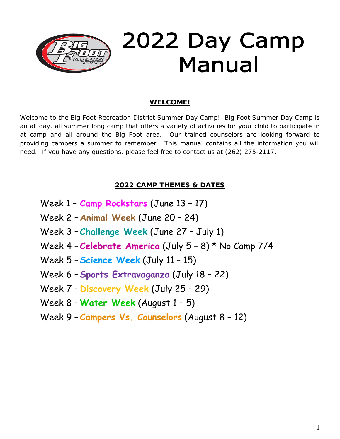

## **WELCOME!**

Welcome to the Big Foot Recreation District Summer Day Camp! Big Foot Summer Day Camp is an all day, all summer long camp that offers a variety of activities for your child to participate in at camp and all around the Big Foot area. Our trained counselors are looking forward to providing campers a summer to remember. This manual contains all the information you will need. If you have any questions, please feel free to contact us at (262) 275-2117.

# **2022 CAMP THEMES & DATES**

- Week 1 **Camp Rockstars** (June 13 17)
- Week 2 **Animal Week** (June 20 24)
- Week 3 **Challenge Week** (June 27 July 1)
- Week 4 **Celebrate America** (July 5 8) \* No Camp 7/4
- Week 5 **Science Week** (July 11 15)
- Week 6 **Sports Extravaganza** (July 18 22)
- Week 7 **Discovery Week** (July 25 29)
- Week 8 **Water Week** (August 1 5)
- Week 9 **Campers Vs. Counselors** (August 8 12)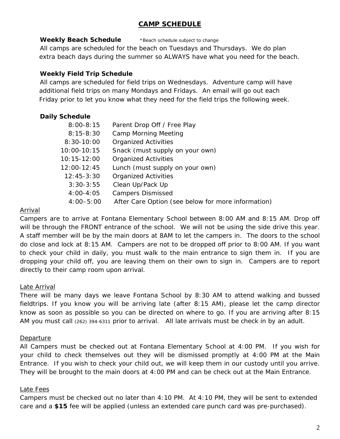# **CAMP SCHEDULE**

### **Weekly Beach Schedule** \*Beach schedule subject to change

All camps are scheduled for the beach on Tuesdays and Thursdays. We do plan extra beach days during the summer so ALWAYS have what you need for the beach.

## **Weekly Field Trip Schedule**

All camps are scheduled for field trips on Wednesdays. Adventure camp will have additional field trips on many Mondays and Fridays. An email will go out each Friday prior to let you know what they need for the field trips the following week.

# **Daily Schedule**

| $8:00 - 8:15$   | Parent Drop Off / Free Play                        |  |  |
|-----------------|----------------------------------------------------|--|--|
| $8:15-8:30$     | <b>Camp Morning Meeting</b>                        |  |  |
| $8:30-10:00$    | <b>Organized Activities</b>                        |  |  |
| $10:00 - 10:15$ | Snack (must supply on your own)                    |  |  |
| $10:15 - 12:00$ | <b>Organized Activities</b>                        |  |  |
| $12:00-12:45$   | Lunch (must supply on your own)                    |  |  |
| $12:45-3:30$    | <b>Organized Activities</b>                        |  |  |
| $3:30-3:55$     | Clean Up/Pack Up                                   |  |  |
| $4:00 - 4:05$   | <b>Campers Dismissed</b>                           |  |  |
| $4:00 - 5:00$   | After Care Option (see below for more information) |  |  |

## Arrival

Campers are to arrive at Fontana Elementary School between 8:00 AM and 8:15 AM. Drop off will be through the FRONT entrance of the school. We will not be using the side drive this year. A staff member will be by the main doors at 8AM to let the campers in. The doors to the school do close and lock at 8:15 AM. Campers are not to be dropped off prior to 8:00 AM. If you want to check your child in daily, you must walk to the main entrance to sign them in. If you are dropping your child off, you are leaving them on their own to sign in. Campers are to report directly to their camp room upon arrival.

### Late Arrival

There will be many days we leave Fontana School by 8:30 AM to attend walking and bussed fieldtrips. If you know you will be arriving late (after 8:15 AM), please let the camp director know as soon as possible so you can be directed on where to go. If you are arriving after 8:15 AM you must call (262) 394-6311 prior to arrival. All late arrivals must be check in by an adult.

# **Departure**

All Campers must be checked out at Fontana Elementary School at 4:00 PM. If you wish for your child to check themselves out they will be dismissed promptly at 4:00 PM at the Main Entrance. If you wish to check your child out, we will keep them in our custody until you arrive. They will be brought to the main doors at 4:00 PM and can be check out at the Main Entrance.

# Late Fees

Campers must be checked out no later than 4:10 PM. At 4:10 PM, they will be sent to extended care and a **\$15** fee will be applied (unless an extended care punch card was pre-purchased).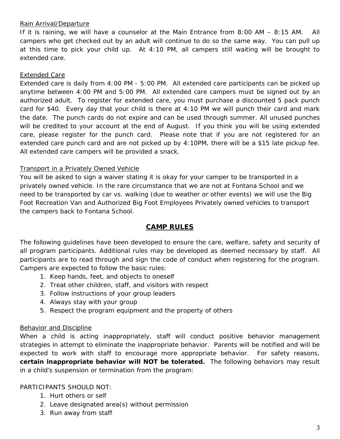### Rain Arrival/Departure

If it is raining, we will have a counselor at the Main Entrance from 8:00 AM – 8:15 AM. All campers who get checked out by an adult will continue to do so the same way. You can pull up at this time to pick your child up. At 4:10 PM, all campers still waiting will be brought to extended care.

### Extended Care

Extended care is daily from 4:00 PM - 5:00 PM. All extended care participants can be picked up anytime between 4:00 PM and 5:00 PM. All extended care campers must be signed out by an authorized adult. To register for extended care, you must purchase a discounted 5 pack punch card for \$40. Every day that your child is there at 4:10 PM we will punch their card and mark the date. The punch cards do not expire and can be used through summer. All unused punches will be credited to your account at the end of August. If you think you will be using extended care, please register for the punch card. Please note that if you are not registered for an extended care punch card and are not picked up by 4:10PM, there will be a \$15 late pickup fee. All extended care campers will be provided a snack.

#### Transport in a Privately Owned Vehicle

You will be asked to sign a waiver stating it is okay for your camper to be transported in a privately owned vehicle. In the rare circumstance that we are not at Fontana School and we need to be transported by car vs. walking (due to weather or other events) we will use the Big Foot Recreation Van and Authorized Big Foot Employees Privately owned vehicles to transport the campers back to Fontana School.

### **CAMP RULES**

The following guidelines have been developed to ensure the care, welfare, safety and security of all program participants. Additional rules may be developed as deemed necessary by staff. All participants are to read through and sign the code of conduct when registering for the program. Campers are expected to follow the basic rules:

- 1. Keep hands, feet, and objects to oneself
- 2. Treat other children, staff, and visitors with respect
- 3. Follow instructions of your group leaders
- 4. Always stay with your group
- 5. Respect the program equipment and the property of others

#### Behavior and Discipline

When a child is acting inappropriately, staff will conduct positive behavior management strategies in attempt to eliminate the inappropriate behavior. Parents will be notified and will be expected to work with staff to encourage more appropriate behavior. For safety reasons, **certain inappropriate behavior will NOT be tolerated.** The following behaviors may result in a child's suspension or termination from the program:

#### PARTICIPANTS SHOULD NOT:

- 1. Hurt others or self
- 2. Leave designated area(s) without permission
- 3. Run away from staff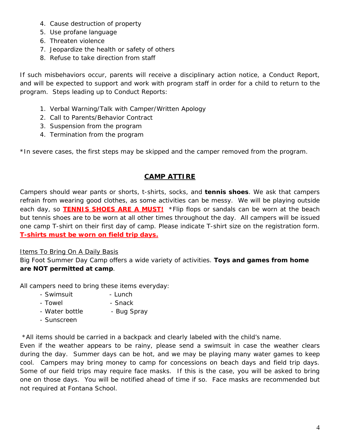- 4. Cause destruction of property
- 5. Use profane language
- 6. Threaten violence
- 7. Jeopardize the health or safety of others
- 8. Refuse to take direction from staff

If such misbehaviors occur, parents will receive a disciplinary action notice, a Conduct Report, and will be expected to support and work with program staff in order for a child to return to the program. Steps leading up to Conduct Reports:

- 1. Verbal Warning/Talk with Camper/Written Apology
- 2. Call to Parents/Behavior Contract
- 3. Suspension from the program
- 4. Termination from the program

*\*In severe cases, the first steps may be skipped and the camper removed from the program.* 

# **CAMP ATTIRE**

Campers should wear pants or shorts, t-shirts, socks, and **tennis shoes**. We ask that campers refrain from wearing good clothes, as some activities can be messy. We will be playing outside each day, so **TENNIS SHOES ARE A MUST!** *\*Flip flops or sandals can be worn at the beach but tennis shoes are to be worn at all other times throughout the day.* All campers will be issued one camp T-shirt on their first day of camp. Please indicate T-shirt size on the registration form. **T-shirts must be worn on field trip days.**

### Items To Bring On A Daily Basis

Big Foot Summer Day Camp offers a wide variety of activities. **Toys and games from home are NOT permitted at camp**.

All campers need to bring these items everyday:

- Swimsuit Lunch
- Towel  **Snack**
- Water bottle Bug Spray
- Sunscreen

### *\*All items should be carried in a backpack and clearly labeled with the child's name.*

Even if the weather appears to be rainy, please send a swimsuit in case the weather clears during the day. Summer days can be hot, and we may be playing many water games to keep cool. Campers may bring money to camp for concessions on beach days and field trip days. Some of our field trips may require face masks. If this is the case, you will be asked to bring one on those days. You will be notified ahead of time if so. Face masks are recommended but not required at Fontana School.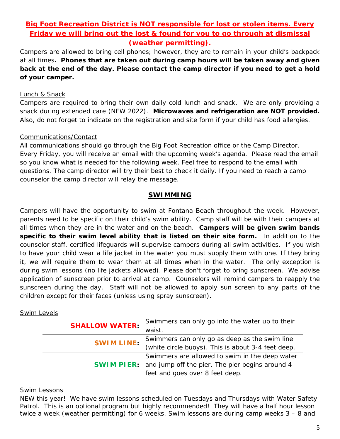# **Big Foot Recreation District is NOT responsible for lost or stolen items. Every Friday we will bring out the lost & found for you to go through at dismissal (weather permitting).**

Campers are allowed to bring cell phones; however, they are to remain in your child's backpack at all times**. Phones that are taken out during camp hours will be taken away and given back at the end of the day. Please contact the camp director if you need to get a hold of your camper.** 

### Lunch & Snack

Campers are required to bring their own daily cold lunch and snack. We are only providing a snack during extended care (NEW 2022). **Microwaves and refrigeration are NOT provided.**  Also, do not forget to indicate on the registration and site form if your child has food allergies.

## Communications/Contact

All communications should go through the Big Foot Recreation office or the Camp Director. Every Friday, you will receive an email with the upcoming week's agenda. Please read the email so you know what is needed for the following week. Feel free to respond to the email with questions. The camp director will try their best to check it daily. If you need to reach a camp counselor the camp director will relay the message.

## **SWIMMING**

Campers will have the opportunity to swim at Fontana Beach throughout the week. However, parents need to be specific on their child's swim ability. Camp staff will be with their campers at all times when they are in the water and on the beach. **Campers will be given swim bands specific to their swim level ability that is listed on their site form.** In addition to the counselor staff, certified lifeguards will supervise campers during all swim activities. If you wish to have your child wear a life jacket in the water you must supply them with one. If they bring it, we will require them to wear them at all times when in the water. The only exception is during swim lessons (no life jackets allowed). Please don't forget to bring sunscreen. We advise application of sunscreen prior to arrival at camp. Counselors will remind campers to reapply the sunscreen during the day. Staff will not be allowed to apply sun screen to any parts of the children except for their faces (unless using spray sunscreen).

### Swim Levels

| <b>SHALLOW WATER:</b> | Swimmers can only go into the water up to their                   |
|-----------------------|-------------------------------------------------------------------|
|                       | waist.                                                            |
| <b>SWIM LINE:</b>     | Swimmers can only go as deep as the swim line                     |
|                       | (white circle buoys). This is about 3-4 feet deep.                |
|                       | Swimmers are allowed to swim in the deep water                    |
|                       | <b>SWIM PIER:</b> and jump off the pier. The pier begins around 4 |
|                       | feet and goes over 8 feet deep.                                   |

### Swim Lessons

NEW this year! We have swim lessons scheduled on Tuesdays and Thursdays with Water Safety Patrol. This is an optional program but highly recommended! They will have a half hour lesson twice a week (weather permitting) for 6 weeks. Swim lessons are during camp weeks 3 – 8 and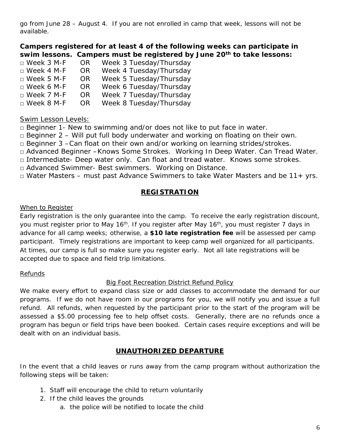go from June 28 – August 4. If you are not enrolled in camp that week, lessons will not be available.

**Campers registered for at least 4 of the following weeks can participate in swim lessons. Campers must be registered by June 20th to take lessons:**

| OR. | Week 3 Tuesday/Thursday |
|-----|-------------------------|
| OR. | Week 4 Tuesday/Thursday |
| OR. | Week 5 Tuesday/Thursday |
| OR. | Week 6 Tuesday/Thursday |
| OR. | Week 7 Tuesday/Thursday |
| OR. | Week 8 Tuesday/Thursday |
|     |                         |

# Swim Lesson Levels:

 $\Box$  Beginner 1- New to swimming and/or does not like to put face in water.

 $\Box$  Beginner 2 – Will put full body underwater and working on floating on their own.

□ Beginner 3 –Can float on their own and/or working on learning strides/strokes.

□ Advanced Beginner –Knows Some Strokes. Working In Deep Water. Can Tread Water.

□ Intermediate- Deep water only. Can float and tread water. Knows some strokes.

□ Advanced Swimmer- Best swimmers. Working on Distance.

 $\Box$  Water Masters – must past Advance Swimmers to take Water Masters and be 11+ yrs.

# **REGISTRATION**

### When to Register

Early registration is the only guarantee into the camp. To receive the early registration discount, you must register prior to May 16<sup>th</sup>. If you register after May 16<sup>th</sup>, you must register 7 days in advance for all camp weeks; otherwise, a **\$10 late registration fee** will be assessed per camp participant. Timely registrations are important to keep camp well organized for all participants. At times, our camp is full so make sure you register early. Not all late registrations will be accepted due to space and field trip limitations.

### Refunds

# Big Foot Recreation District Refund Policy

We make every effort to expand class size or add classes to accommodate the demand for our programs. If we do not have room in our programs for you, we will notify you and issue a full refund. All refunds, when requested by the participant prior to the start of the program will be assessed a \$5.00 processing fee to help offset costs. Generally, there are no refunds once a program has begun or field trips have been booked. Certain cases require exceptions and will be dealt with on an individual basis.

# **UNAUTHORIZED DEPARTURE**

In the event that a child leaves or runs away from the camp program without authorization the following steps will be taken:

- 1. Staff will encourage the child to return voluntarily
- 2. If the child leaves the grounds
	- a. the police will be notified to locate the child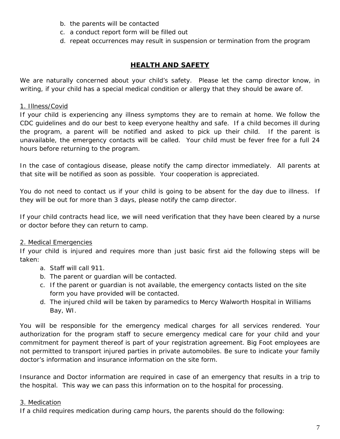- b. the parents will be contacted
- c. a conduct report form will be filled out
- d. repeat occurrences may result in suspension or termination from the program

# **HEALTH AND SAFETY**

We are naturally concerned about your child's safety. Please let the camp director know, in writing, if your child has a special medical condition or allergy that they should be aware of.

#### 1. Illness/Covid

If your child is experiencing any illness symptoms they are to remain at home. We follow the CDC guidelines and do our best to keep everyone healthy and safe. If a child becomes ill during the program, a parent will be notified and asked to pick up their child. If the parent is unavailable, the emergency contacts will be called. Your child must be fever free for a full 24 hours before returning to the program.

In the case of contagious disease, please notify the camp director immediately. All parents at that site will be notified as soon as possible. Your cooperation is appreciated.

You do not need to contact us if your child is going to be absent for the day due to illness. If they will be out for more than 3 days, please notify the camp director.

If your child contracts head lice, we will need verification that they have been cleared by a nurse or doctor before they can return to camp.

### 2. Medical Emergencies

If your child is injured and requires more than just basic first aid the following steps will be taken:

- a. Staff will call 911.
- b. The parent or guardian will be contacted.
- c. If the parent or guardian is not available, the emergency contacts listed on the site form you have provided will be contacted.
- d. The injured child will be taken by paramedics to Mercy Walworth Hospital in Williams Bay, WI.

You will be responsible for the emergency medical charges for all services rendered. Your authorization for the program staff to secure emergency medical care for your child and your commitment for payment thereof is part of your registration agreement. Big Foot employees are not permitted to transport injured parties in private automobiles. Be sure to indicate your family doctor's information and insurance information on the site form.

Insurance and Doctor information are required in case of an emergency that results in a trip to the hospital. This way we can pass this information on to the hospital for processing.

### 3. Medication

If a child requires medication during camp hours, the parents should do the following: